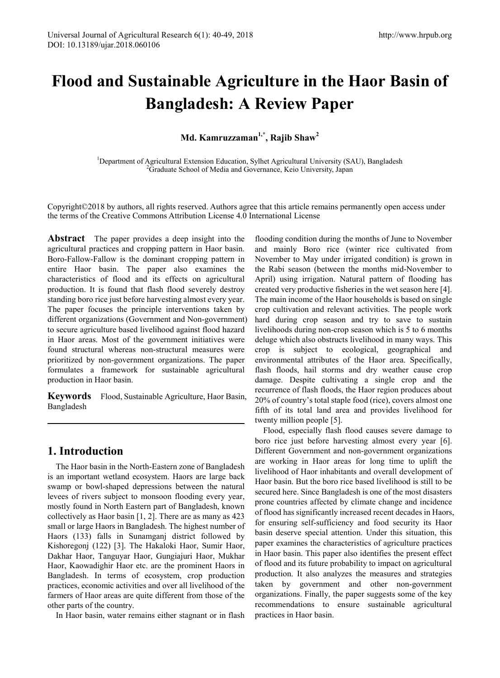# **Flood and Sustainable Agriculture in the Haor Basin of Bangladesh: A Review Paper**

**Md. Kamruzzaman1,\*, Rajib Shaw2**

<sup>1</sup>Department of Agricultural Extension Education, Sylhet Agricultural University (SAU), Bangladesh <sup>2</sup>Graduate School of Media and Governance, Kejo University Japan <sup>2</sup>Graduate School of Media and Governance, Keio University, Japan

Copyright©2018 by authors, all rights reserved. Authors agree that this article remains permanently open access under the terms of the Creative Commons Attribution License 4.0 International License

**Abstract** The paper provides a deep insight into the agricultural practices and cropping pattern in Haor basin. Boro-Fallow-Fallow is the dominant cropping pattern in entire Haor basin. The paper also examines the characteristics of flood and its effects on agricultural production. It is found that flash flood severely destroy standing boro rice just before harvesting almost every year. The paper focuses the principle interventions taken by different organizations (Government and Non-government) to secure agriculture based livelihood against flood hazard in Haor areas. Most of the government initiatives were found structural whereas non-structural measures were prioritized by non-government organizations. The paper formulates a framework for sustainable agricultural production in Haor basin.

**Keywords** Flood, Sustainable Agriculture, Haor Basin, Bangladesh

## **1. Introduction**

The Haor basin in the North-Eastern zone of Bangladesh is an important wetland ecosystem. Haors are large back swamp or bowl-shaped depressions between the natural levees of rivers subject to monsoon flooding every year, mostly found in North Eastern part of Bangladesh, known collectively as Haor basin [1, 2]. There are as many as 423 small or large Haors in Bangladesh. The highest number of Haors (133) falls in Sunamganj district followed by Kishoregonj (122) [3]. The Hakaloki Haor, Sumir Haor, Dakhar Haor, Tanguyar Haor, Gungiajuri Haor, Mukhar Haor, Kaowadighir Haor etc. are the prominent Haors in Bangladesh. In terms of ecosystem, crop production practices, economic activities and over all livelihood of the farmers of Haor areas are quite different from those of the other parts of the country.

In Haor basin, water remains either stagnant or in flash

flooding condition during the months of June to November and mainly Boro rice (winter rice cultivated from November to May under irrigated condition) is grown in the Rabi season (between the months mid-November to April) using irrigation. Natural pattern of flooding has created very productive fisheries in the wet season here [4]. The main income of the Haor households is based on single crop cultivation and relevant activities. The people work hard during crop season and try to save to sustain livelihoods during non-crop season which is 5 to 6 months deluge which also obstructs livelihood in many ways. This crop is subject to ecological, geographical and environmental attributes of the Haor area. Specifically, flash floods, hail storms and dry weather cause crop damage. Despite cultivating a single crop and the recurrence of flash floods, the Haor region produces about 20% of country's total staple food (rice), covers almost one fifth of its total land area and provides livelihood for twenty million people [5].

Flood, especially flash flood causes severe damage to boro rice just before harvesting almost every year [6]. Different Government and non-government organizations are working in Haor areas for long time to uplift the livelihood of Haor inhabitants and overall development of Haor basin. But the boro rice based livelihood is still to be secured here. Since Bangladesh is one of the most disasters prone countries affected by climate change and incidence of flood has significantly increased recent decades in Haors, for ensuring self-sufficiency and food security its Haor basin deserve special attention. Under this situation, this paper examines the characteristics of agriculture practices in Haor basin. This paper also identifies the present effect of flood and its future probability to impact on agricultural production. It also analyzes the measures and strategies taken by government and other non-government organizations. Finally, the paper suggests some of the key recommendations to ensure sustainable agricultural practices in Haor basin.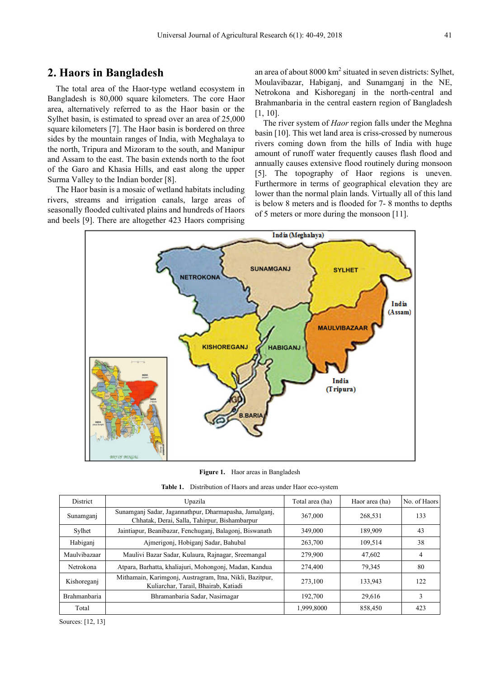# **2. Haors in Bangladesh**

The total area of the Haor-type wetland ecosystem in Bangladesh is 80,000 square kilometers. The core Haor area, alternatively referred to as the Haor basin or the Sylhet basin, is estimated to spread over an area of 25,000 square kilometers [7]. The Haor basin is bordered on three sides by the mountain ranges of India, with Meghalaya to the north, Tripura and Mizoram to the south, and Manipur and Assam to the east. The basin extends north to the foot of the Garo and Khasia Hills, and east along the upper Surma Valley to the Indian border [8].

The Haor basin is a mosaic of wetland habitats including rivers, streams and irrigation canals, large areas of seasonally flooded cultivated plains and hundreds of Haors and beels [9]. There are altogether 423 Haors comprising an area of about 8000 km<sup>2</sup> situated in seven districts: Sylhet, Moulavibazar, Habiganj, and Sunamganj in the NE, Netrokona and Kishoreganj in the north-central and Brahmanbaria in the central eastern region of Bangladesh [1, 10].

The river system of *Haor* region falls under the Meghna basin [10]. This wet land area is criss-crossed by numerous rivers coming down from the hills of India with huge amount of runoff water frequently causes flash flood and annually causes extensive flood routinely during monsoon [5]. The topography of Haor regions is uneven. Furthermore in terms of geographical elevation they are lower than the normal plain lands. Virtually all of this land is below 8 meters and is flooded for 7- 8 months to depths of 5 meters or more during the monsoon [11].



**Figure 1.** Haor areas in Bangladesh

|  |  | <b>Table 1.</b> Distribution of Haors and areas under Haor eco-system |
|--|--|-----------------------------------------------------------------------|
|  |  |                                                                       |

| <b>District</b> | Upazila                                                                                                 | Total area (ha) | Haor area (ha) | No. of Haors |
|-----------------|---------------------------------------------------------------------------------------------------------|-----------------|----------------|--------------|
| Sunamganj       | Sunamganj Sadar, Jagannathpur, Dharmapasha, Jamalganj,<br>Chhatak, Derai, Salla, Tahirpur, Bishambarpur | 367,000         | 268.531        | 133          |
| Sylhet          | Jaintiapur, Beanibazar, Fenchuganj, Balagonj, Biswanath                                                 | 349,000         | 189.909        | 43           |
| Habiganj        | Ajmerigonj, Hobiganj Sadar, Bahubal                                                                     | 263,700         | 109,514        | 38           |
| Maulvibazaar    | Maulivi Bazar Sadar, Kulaura, Rajnagar, Sreemangal                                                      | 279,900         | 47,602         | 4            |
| Netrokona       | Atpara, Barhatta, khaliajuri, Mohongonj, Madan, Kandua                                                  | 274.400         | 79.345         | 80           |
| Kishoreganj     | Mithamain, Karimgonj, Austragram, Itna, Nikli, Bazitpur,<br>Kuliarchar, Tarail, Bhairab, Katiadi        | 273.100         | 133.943        | 122          |
| Brahmanbaria    | Bhramanbaria Sadar, Nasirnagar                                                                          | 192,700         | 29,616         | 3            |
| Total           |                                                                                                         | 1.999.8000      | 858.450        | 423          |

Sources: [12, 13]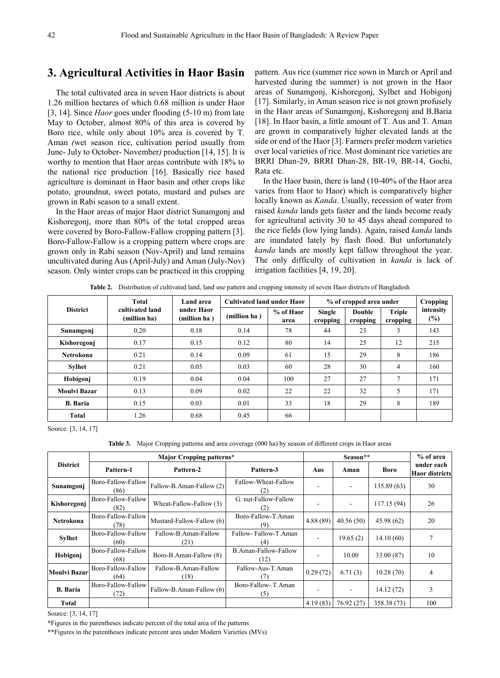## **3. Agricultural Activities in Haor Basin**

The total cultivated area in seven Haor districts is about 1.26 million hectares of which 0.68 million is under Haor [3, 14]. Since *Haor* goes under flooding (5-10 m) from late May to October, almost 80% of this area is covered by Boro rice, while only about 10% area is covered by T. Aman *(*wet season rice, cultivation period usually from June- July to October- November*)* production [14, 15]. It is worthy to mention that Haor areas contribute with 18% to the national rice production [16]. Basically rice based agriculture is dominant in Haor basin and other crops like potato, groundnut, sweet potato, mustard and pulses are grown in Rabi season to a small extent.

In the Haor areas of major Haor district Sunamgonj and Kishoregonj, more than 80% of the total cropped areas were covered by Boro-Fallow-Fallow cropping pattern [3]. Boro-Fallow-Fallow is a cropping pattern where crops are grown only in Rabi season (Nov-April) and land remains uncultivated during Aus (April-July) and Aman (July-Nov) season. Only winter crops can be practiced in this cropping

pattern. Aus rice (summer rice sown in March or April and harvested during the summer) is not grown in the Haor areas of Sunamgonj, Kishoregonj, Sylhet and Hobigonj [17]. Similarly, in Aman season rice is not grown profusely in the Haor areas of Sunamgonj, Kishoregonj and B.Baria [18]. In Haor basin, a little amount of T. Aus and T. Aman are grown in comparatively higher elevated lands at the side or end of the Haor [3]. Farmers prefer modern varieties over local varieties of rice. Most dominant rice varieties are BRRI Dhan-29, BRRI Dhan-28, BR-19, BR-14, Gochi, Rata etc.

In the Haor basin, there is land (10-40% of the Haor area varies from Haor to Haor) which is comparatively higher locally known as *Kanda*. Usually, recession of water from raised *kanda* lands gets faster and the lands become ready for agricultural activity 30 to 45 days ahead compared to the rice fields (low lying lands). Again, raised *kanda* lands are inundated lately by flash flood. But unfortunately *kanda* lands are mostly kept fallow throughout the year. The only difficulty of cultivation in *kanda* is lack of irrigation facilities [4, 19, 20].

**Table 2.** Distribution of cultivated land, land use pattern and cropping intensity of seven Haor districts of Bangladesh

|                 | Total<br>Land area              |                             | <b>Cultivated land under Haor</b> |                   | % of cropped area under | <b>Cropping</b>           |                           |                     |
|-----------------|---------------------------------|-----------------------------|-----------------------------------|-------------------|-------------------------|---------------------------|---------------------------|---------------------|
| <b>District</b> | cultivated land<br>(million ha) | under Haor<br>(million ha ) | (million ha)                      | % of Haor<br>area | Single<br>cropping      | <b>Double</b><br>cropping | <b>Triple</b><br>cropping | intensity<br>$(\%)$ |
| Sunamgonj       | 0.20                            | 0.18                        | 0.14                              | 78                | 44                      | 23                        | 3                         | 143                 |
| Kishoregonj     | 0.17                            | 0.15                        | 0.12                              | 80                | 14                      | 25                        | 12                        | 215                 |
| Netrokona       | 0.21                            | 0.14                        | 0.09                              | 61                | 15                      | 29                        | 8                         | 186                 |
| <b>Sylhet</b>   | 0.21                            | 0.05                        | 0.03                              | 60                | 28                      | 30                        | 4                         | 160                 |
| Hobigonj        | 0.19                            | 0.04                        | 0.04                              | 100               | 27                      | 27                        | $\overline{ }$            | 171                 |
| Moulvi Bazar    | 0.13                            | 0.09                        | 0.02                              | 22                | 22                      | 32                        | 5                         | 171                 |
| <b>B.</b> Baria | 0.15                            | 0.03                        | 0.01                              | 33                | 18                      | 29                        | 8                         | 189                 |
| Total           | 1.26                            | 0.68                        | 0.45                              | 66                |                         |                           |                           |                     |

Source: [3, 14, 17]

**Table 3.** Major Cropping patterns and area coverage (000 ha) by season of different crops in Haor areas

|                     |                            | Major Cropping patterns*      |                                     |                          | Season**  |             | % of area                           |
|---------------------|----------------------------|-------------------------------|-------------------------------------|--------------------------|-----------|-------------|-------------------------------------|
| <b>District</b>     | Pattern-1                  | Pattern-2<br>Pattern-3        |                                     | Aus                      | Aman      | <b>Boro</b> | under each<br><b>Haor districts</b> |
| Sunamgonj           | Boro-Fallow-Fallow<br>(86) | Fallow-B.Aman-Fallow (2)      | Fallow-Wheat-Fallow                 |                          |           | 135.89(63)  | 30                                  |
| Kishoregonj         | Boro-Fallow-Fallow<br>(82) | Wheat-Fallow-Fallow (3)       | G. nut-Fallow-Fallow                |                          |           | 117.15 (94) | 26                                  |
| <b>Netrokona</b>    | Boro-Fallow-Fallow<br>(78) | Mustard-Fallow-Fallow (6)     | Boro-Fallow-T.Aman                  | 4.88 (89)                | 40.56(50) | 45.98(62)   | 20                                  |
| <b>Sylhet</b>       | Boro-Fallow-Fallow<br>(60) | Fallow-B. Aman-Fallow<br>(21) | Fallow-Fallow-T.Aman<br>(4)         | $\overline{\phantom{a}}$ | 19.65(2)  | 14.10(60)   | 7                                   |
| Hobigonj            | Boro-Fallow-Fallow<br>(68) | Boro-B.Aman-Fallow (8)        | <b>B.Aman-Fallow-Fallow</b><br>(12) | $\overline{\phantom{a}}$ | 10.00     | 33.00 (87)  | 10                                  |
| <b>Moulvi Bazar</b> | Boro-Fallow-Fallow<br>(64) | Fallow-B. Aman-Fallow<br>(18) | Fallow-Aus-T.Aman                   | 0.29(72)                 | 6.71(3)   | 10.28(70)   | 4                                   |
| <b>B.</b> Baria     | Boro-Fallow-Fallow<br>(72) | Fallow-B.Aman-Fallow (6)      | Boro-Fallow-T.Aman<br>(5)           |                          |           | 14.12(72)   | 3                                   |
| Total               |                            |                               |                                     | 4.19(83)                 | 76.92(27) | 358.38 (73) | 100                                 |

Source: [3, 14, 17]

\*Figures in the parentheses indicate percent of the total area of the patterns

\*\*Figures in the parentheses indicate percent area under Modern Varieties (MVs)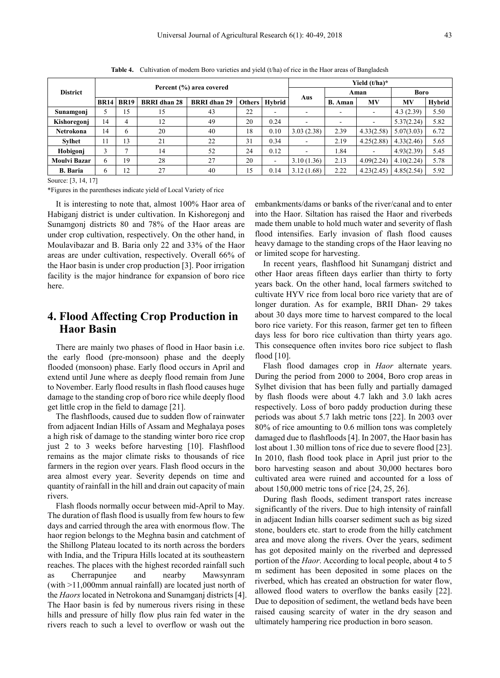|                     |             | Percent (%) area covered |                     |                     |        | Yield (t/ha)*            |                          |                          |                          |             |        |
|---------------------|-------------|--------------------------|---------------------|---------------------|--------|--------------------------|--------------------------|--------------------------|--------------------------|-------------|--------|
| <b>District</b>     |             |                          |                     |                     |        |                          |                          | Aman                     |                          | <b>Boro</b> |        |
|                     | <b>BR14</b> | <b>BR19</b>              | <b>BRRI</b> dhan 28 | <b>BRRI</b> dhan 29 | Others | Hybrid                   | Aus                      | <b>B.</b> Aman           | MV                       | MV          | Hybrid |
| Sunamgonj           |             | 15                       | 15                  | 43                  | 22     | $\overline{\phantom{0}}$ |                          | $\overline{\phantom{0}}$ | $\overline{\phantom{0}}$ | 4.3(2.39)   | 5.50   |
| Kishoregonj         | 14          | 4                        | 12                  | 49                  | 20     | 0.24                     |                          | ۰                        | ۰                        | 5.37(2.24)  | 5.82   |
| Netrokona           | 14          | 6                        | 20                  | 40                  | 18     | 0.10                     | 3.03(2.38)               | 2.39                     | 4.33(2.58)               | 5.07(3.03)  | 6.72   |
| <b>Sylhet</b>       | 11          | 13                       | 21                  | 22                  | 31     | 0.34                     |                          | 2.19                     | 4.25(2.88)               | 4.33(2.46)  | 5.65   |
| Hobigonj            | 3           |                          | 14                  | 52                  | 24     | 0.12                     | $\overline{\phantom{a}}$ | 1.84                     | ۰                        | 4.93(2.39)  | 5.45   |
| <b>Moulvi Bazar</b> | 6           | 19                       | 28                  | 27                  | 20     | $\blacksquare$           | 3.10(1.36)               | 2.13                     | 4.09(2.24)               | 4.10(2.24)  | 5.78   |
| <b>B.</b> Baria     | 6           | 12                       | 27                  | 40                  | 15     | 0.14                     | 3.12(1.68)               | 2.22                     | 4.23(2.45)               | 4.85(2.54)  | 5.92   |

**Table 4.** Cultivation of modern Boro varieties and yield (t/ha) of rice in the Haor areas of Bangladesh

Source: [3, 14, 17]

\*Figures in the parentheses indicate yield of Local Variety of rice

It is interesting to note that, almost 100% Haor area of Habiganj district is under cultivation. In Kishoregonj and Sunamgonj districts 80 and 78% of the Haor areas are under crop cultivation, respectively. On the other hand, in Moulavibazar and B. Baria only 22 and 33% of the Haor areas are under cultivation, respectively. Overall 66% of the Haor basin is under crop production [3]. Poor irrigation facility is the major hindrance for expansion of boro rice here.

# **4. Flood Affecting Crop Production in Haor Basin**

There are mainly two phases of flood in Haor basin i.e. the early flood (pre-monsoon) phase and the deeply flooded (monsoon) phase. Early flood occurs in April and extend until June where as deeply flood remain from June to November. Early flood results in flash flood causes huge damage to the standing crop of boro rice while deeply flood get little crop in the field to damage [21].

The flashfloods, caused due to sudden flow of rainwater from adjacent Indian Hills of Assam and Meghalaya poses a high risk of damage to the standing winter boro rice crop just 2 to 3 weeks before harvesting [10]. Flashflood remains as the major climate risks to thousands of rice farmers in the region over years. Flash flood occurs in the area almost every year. Severity depends on time and quantity of rainfall in the hill and drain out capacity of main rivers.

Flash floods normally occur between mid-April to May. The duration of flash flood is usually from few hours to few days and carried through the area with enormous flow. The haor region belongs to the Meghna basin and catchment of the Shillong Plateau located to its north across the borders with India, and the Tripura Hills located at its southeastern reaches. The places with the highest recorded rainfall such as Cherrapunjee and nearby Mawsynram (with >11,000mm annual rainfall) are located just north of the *Haors* located in Netrokona and Sunamganj districts [4]. The Haor basin is fed by numerous rivers rising in these hills and pressure of hilly flow plus rain fed water in the rivers reach to such a level to overflow or wash out the

embankments/dams or banks of the river/canal and to enter into the Haor. Siltation has raised the Haor and riverbeds made them unable to hold much water and severity of flash flood intensifies. Early invasion of flash flood causes heavy damage to the standing crops of the Haor leaving no or limited scope for harvesting.

In recent years, flashflood hit Sunamganj district and other Haor areas fifteen days earlier than thirty to forty years back. On the other hand, local farmers switched to cultivate HYV rice from local boro rice variety that are of longer duration. As for example, BRII Dhan- 29 takes about 30 days more time to harvest compared to the local boro rice variety. For this reason, farmer get ten to fifteen days less for boro rice cultivation than thirty years ago. This consequence often invites boro rice subject to flash flood [10].

Flash flood damages crop in *Haor* alternate years. During the period from 2000 to 2004, Boro crop areas in Sylhet division that has been fully and partially damaged by flash floods were about 4.7 lakh and 3.0 lakh acres respectively. Loss of boro paddy production during these periods was about 5.7 lakh metric tons [22]. In 2003 over 80% of rice amounting to 0.6 million tons was completely damaged due to flashfloods [4]. In 2007, the Haor basin has lost about 1.30 million tons of rice due to severe flood [23]. In 2010, flash flood took place in April just prior to the boro harvesting season and about 30,000 hectares boro cultivated area were ruined and accounted for a loss of about 150,000 metric tons of rice [24, 25, 26].

During flash floods, sediment transport rates increase significantly of the rivers. Due to high intensity of rainfall in adjacent Indian hills coarser sediment such as big sized stone, boulders etc. start to erode from the hilly catchment area and move along the rivers. Over the years, sediment has got deposited mainly on the riverbed and depressed portion of the *Haor*. According to local people, about 4 to 5 m sediment has been deposited in some places on the riverbed, which has created an obstruction for water flow, allowed flood waters to overflow the banks easily [22]. Due to deposition of sediment, the wetland beds have been raised causing scarcity of water in the dry season and ultimately hampering rice production in boro season.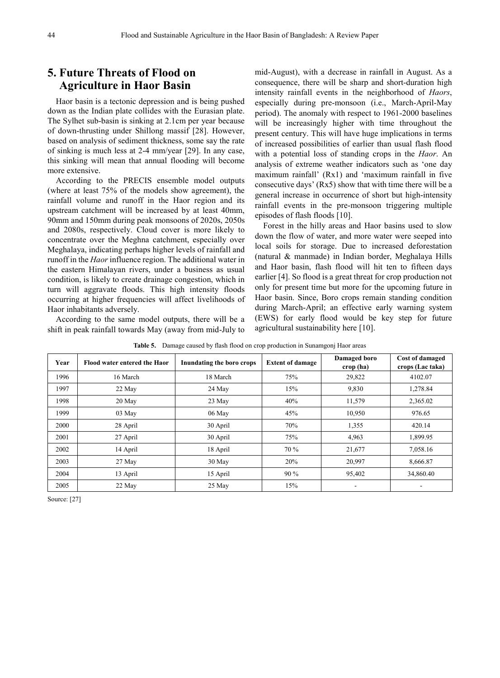# **5. Future Threats of Flood on Agriculture in Haor Basin**

Haor basin is a tectonic depression and is being pushed down as the Indian plate collides with the Eurasian plate. The Sylhet sub-basin is sinking at 2.1cm per year because of down-thrusting under Shillong massif [28]. However, based on analysis of sediment thickness, some say the rate of sinking is much less at 2-4 mm/year [29]. In any case, this sinking will mean that annual flooding will become more extensive.

According to the PRECIS ensemble model outputs (where at least 75% of the models show agreement), the rainfall volume and runoff in the Haor region and its upstream catchment will be increased by at least 40mm, 90mm and 150mm during peak monsoons of 2020s, 2050s and 2080s, respectively. Cloud cover is more likely to concentrate over the Meghna catchment, especially over Meghalaya, indicating perhaps higher levels of rainfall and runoff in the *Haor* influence region. The additional water in the eastern Himalayan rivers, under a business as usual condition, is likely to create drainage congestion, which in turn will aggravate floods. This high intensity floods occurring at higher frequencies will affect livelihoods of Haor inhabitants adversely.

According to the same model outputs, there will be a shift in peak rainfall towards May (away from mid-July to mid-August), with a decrease in rainfall in August. As a consequence, there will be sharp and short-duration high intensity rainfall events in the neighborhood of *Haors*, especially during pre-monsoon (i.e., March-April-May period). The anomaly with respect to 1961-2000 baselines will be increasingly higher with time throughout the present century. This will have huge implications in terms of increased possibilities of earlier than usual flash flood with a potential loss of standing crops in the *Haor*. An analysis of extreme weather indicators such as 'one day maximum rainfall' (Rx1) and 'maximum rainfall in five consecutive days' (Rx5) show that with time there will be a general increase in occurrence of short but high-intensity rainfall events in the pre-monsoon triggering multiple episodes of flash floods [10].

Forest in the hilly areas and Haor basins used to slow down the flow of water, and more water were seeped into local soils for storage. Due to increased deforestation (natural & manmade) in Indian border, Meghalaya Hills and Haor basin, flash flood will hit ten to fifteen days earlier [4]. So flood is a great threat for crop production not only for present time but more for the upcoming future in Haor basin. Since, Boro crops remain standing condition during March-April; an effective early warning system (EWS) for early flood would be key step for future agricultural sustainability here [10].

| Year | Flood water entered the Haor | Inundating the boro crops | <b>Extent of damage</b> | Damaged boro<br>crop (ha) | Cost of damaged<br>crops (Lac taka) |
|------|------------------------------|---------------------------|-------------------------|---------------------------|-------------------------------------|
| 1996 | 16 March                     | 18 March                  | 75%                     | 29,822                    | 4102.07                             |
| 1997 | 22 May                       | 24 May                    | 15%                     | 9,830                     | 1,278.84                            |
| 1998 | 20 May                       | 23 May                    | 40%                     | 11,579                    | 2,365.02                            |
| 1999 | 03 May                       | 06 May                    | 45%                     | 10,950                    | 976.65                              |
| 2000 | 28 April                     | 30 April                  | 70%                     | 1,355                     | 420.14                              |
| 2001 | 27 April                     | 30 April                  | 75%                     | 4,963                     | 1,899.95                            |
| 2002 | 14 April                     | 18 April                  | 70 %                    | 21,677                    | 7,058.16                            |
| 2003 | 27 May                       | 30 May                    | 20%                     | 20,997                    | 8,666.87                            |
| 2004 | 13 April                     | 15 April                  | $90\%$                  | 95,402                    | 34,860.40                           |
| 2005 | 22 May                       | 25 May                    | 15%                     |                           |                                     |

**Table 5.** Damage caused by flash flood on crop production in Sunamgonj Haor areas

Source: [27]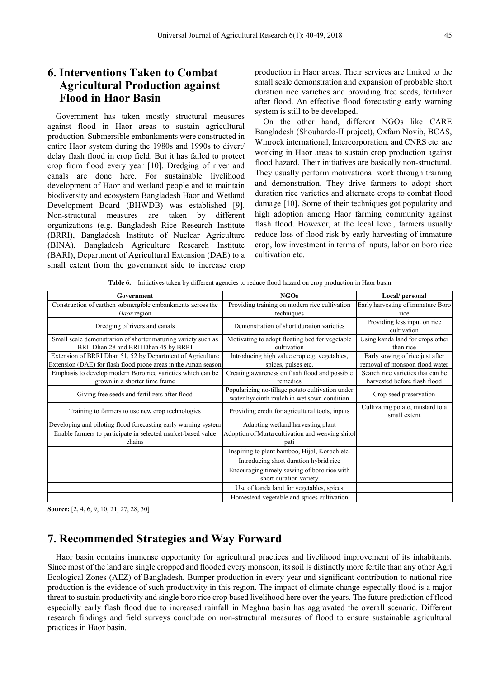# **6. Interventions Taken to Combat Agricultural Production against Flood in Haor Basin**

Government has taken mostly structural measures against flood in Haor areas to sustain agricultural production. Submersible embankments were constructed in entire Haor system during the 1980s and 1990s to divert/ delay flash flood in crop field. But it has failed to protect crop from flood every year [10]. Dredging of river and canals are done here. For sustainable livelihood development of Haor and wetland people and to maintain biodiversity and ecosystem Bangladesh Haor and Wetland Development Board (BHWDB) was established [9]. Non-structural measures are taken by different organizations (e.g. Bangladesh Rice Research Institute (BRRI), Bangladesh Institute of Nuclear Agriculture (BINA), Bangladesh Agriculture Research Institute (BARI), Department of Agricultural Extension (DAE) to a small extent from the government side to increase crop production in Haor areas. Their services are limited to the small scale demonstration and expansion of probable short duration rice varieties and providing free seeds, fertilizer after flood. An effective flood forecasting early warning system is still to be developed.

On the other hand, different NGOs like CARE Bangladesh (Shouhardo-II project), Oxfam Novib, BCAS, Winrock international, Intercorporation, and CNRS etc. are working in Haor areas to sustain crop production against flood hazard. Their initiatives are basically non-structural. They usually perform motivational work through training and demonstration. They drive farmers to adopt short duration rice varieties and alternate crops to combat flood damage [10]. Some of their techniques got popularity and high adoption among Haor farming community against flash flood. However, at the local level, farmers usually reduce loss of flood risk by early harvesting of immature crop, low investment in terms of inputs, labor on boro rice cultivation etc.

|  |  | Table 6. Initiatives taken by different agencies to reduce flood hazard on crop production in Haor basin |
|--|--|----------------------------------------------------------------------------------------------------------|
|  |  |                                                                                                          |

| Government                                                             | <b>NGOs</b>                                                                                    | Local/ personal                                  |
|------------------------------------------------------------------------|------------------------------------------------------------------------------------------------|--------------------------------------------------|
| Construction of earthen submergible embankments across the             | Providing training on modern rice cultivation                                                  | Early harvesting of immature Boro                |
| <i>Haor</i> region                                                     | techniques                                                                                     | rice                                             |
| Dredging of rivers and canals                                          | Demonstration of short duration varieties                                                      | Providing less input on rice<br>cultivation      |
| Small scale demonstration of shorter maturing variety such as          | Motivating to adopt floating bed for vegetable                                                 | Using kanda land for crops other                 |
| BRII Dhan 28 and BRII Dhan 45 by BRRI                                  | cultivation                                                                                    | than rice                                        |
| Extension of BRRI Dhan 51, 52 by Department of Agriculture             | Introducing high value crop e.g. vegetables,                                                   | Early sowing of rice just after                  |
| Extension (DAE) for flash flood prone areas in the Aman season         | spices, pulses etc.                                                                            | removal of monsoon flood water                   |
| Emphasis to develop modern Boro rice varieties which can be            | Creating awareness on flash flood and possible                                                 | Search rice varieties that can be                |
| grown in a shorter time frame                                          | remedies                                                                                       | harvested before flash flood                     |
| Giving free seeds and fertilizers after flood                          | Popularizing no-tillage potato cultivation under<br>water hyacinth mulch in wet sown condition | Crop seed preservation                           |
| Training to farmers to use new crop technologies                       | Providing credit for agricultural tools, inputs                                                | Cultivating potato, mustard to a<br>small extent |
| Developing and piloting flood forecasting early warning system         | Adapting wetland harvesting plant                                                              |                                                  |
| Enable farmers to participate in selected market-based value<br>chains | Adoption of Murta cultivation and weaving shitol<br>pati                                       |                                                  |
|                                                                        | Inspiring to plant bamboo, Hijol, Koroch etc.                                                  |                                                  |
|                                                                        | Introducing short duration hybrid rice                                                         |                                                  |
|                                                                        | Encouraging timely sowing of boro rice with<br>short duration variety                          |                                                  |
|                                                                        | Use of kanda land for vegetables, spices                                                       |                                                  |
|                                                                        | Homestead vegetable and spices cultivation                                                     |                                                  |

**Source:** [2, 4, 6, 9, 10, 21, 27, 28, 30]

## **7. Recommended Strategies and Way Forward**

Haor basin contains immense opportunity for agricultural practices and livelihood improvement of its inhabitants. Since most of the land are single cropped and flooded every monsoon, its soil is distinctly more fertile than any other Agri Ecological Zones (AEZ) of Bangladesh. Bumper production in every year and significant contribution to national rice production is the evidence of such productivity in this region. The impact of climate change especially flood is a major threat to sustain productivity and single boro rice crop based livelihood here over the years. The future prediction of flood especially early flash flood due to increased rainfall in Meghna basin has aggravated the overall scenario. Different research findings and field surveys conclude on non-structural measures of flood to ensure sustainable agricultural practices in Haor basin.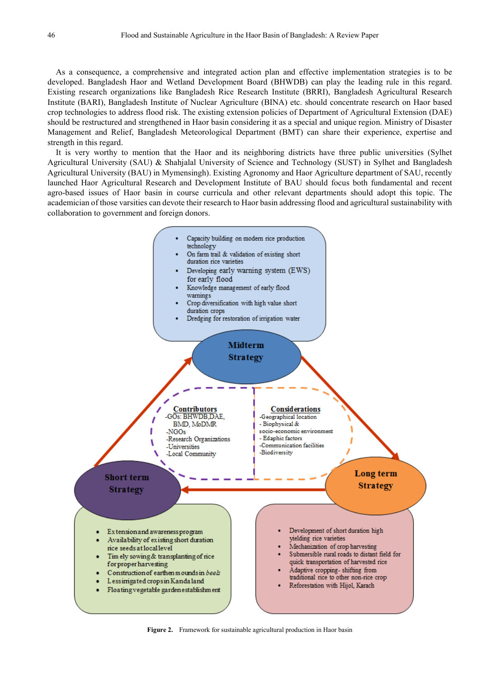As a consequence, a comprehensive and integrated action plan and effective implementation strategies is to be developed. Bangladesh Haor and Wetland Development Board (BHWDB) can play the leading rule in this regard. Existing research organizations like Bangladesh Rice Research Institute (BRRI), Bangladesh Agricultural Research Institute (BARI), Bangladesh Institute of Nuclear Agriculture (BINA) etc. should concentrate research on Haor based crop technologies to address flood risk. The existing extension policies of Department of Agricultural Extension (DAE) should be restructured and strengthened in Haor basin considering it as a special and unique region. Ministry of Disaster Management and Relief, Bangladesh Meteorological Department (BMT) can share their experience, expertise and strength in this regard.

It is very worthy to mention that the Haor and its neighboring districts have three public universities (Sylhet Agricultural University (SAU) & Shahjalal University of Science and Technology (SUST) in Sylhet and Bangladesh Agricultural University (BAU) in Mymensingh). Existing Agronomy and Haor Agriculture department of SAU, recently launched Haor Agricultural Research and Development Institute of BAU should focus both fundamental and recent agro-based issues of Haor basin in course curricula and other relevant departments should adopt this topic. The academician of those varsities can devote their research to Haor basin addressing flood and agricultural sustainability with collaboration to government and foreign donors.



**Figure 2.** Framework for sustainable agricultural production in Haor basin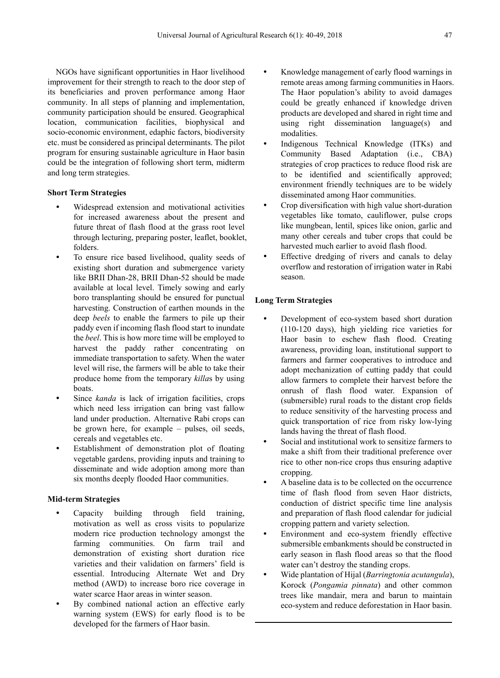NGOs have significant opportunities in Haor livelihood improvement for their strength to reach to the door step of its beneficiaries and proven performance among Haor community. In all steps of planning and implementation, community participation should be ensured. Geographical location, communication facilities, biophysical and socio-economic environment, edaphic factors, biodiversity etc. must be considered as principal determinants. The pilot program for ensuring sustainable agriculture in Haor basin could be the integration of following short term, midterm and long term strategies.

#### **Short Term Strategies**

- Widespread extension and motivational activities for increased awareness about the present and future threat of flash flood at the grass root level through lecturing, preparing poster, leaflet, booklet, folders.
- To ensure rice based livelihood, quality seeds of existing short duration and submergence variety like BRII Dhan-28, BRII Dhan-52 should be made available at local level. Timely sowing and early boro transplanting should be ensured for punctual harvesting. Construction of earthen mounds in the deep *beels* to enable the farmers to pile up their paddy even if incoming flash flood start to inundate the *beel*. This is how more time will be employed to harvest the paddy rather concentrating on immediate transportation to safety. When the water level will rise, the farmers will be able to take their produce home from the temporary *killa*s by using boats.
- Since *kanda* is lack of irrigation facilities, crops which need less irrigation can bring vast fallow land under production. Alternative Rabi crops can be grown here, for example – pulses, oil seeds, cereals and vegetables etc.
- Establishment of demonstration plot of floating vegetable gardens, providing inputs and training to disseminate and wide adoption among more than six months deeply flooded Haor communities.

#### **Mid-term Strategies**

- Capacity building through field training, motivation as well as cross visits to popularize modern rice production technology amongst the farming communities. On farm trail and demonstration of existing short duration rice varieties and their validation on farmers' field is essential. Introducing Alternate Wet and Dry method (AWD) to increase boro rice coverage in water scarce Haor areas in winter season.
- By combined national action an effective early warning system (EWS) for early flood is to be developed for the farmers of Haor basin.
- Knowledge management of early flood warnings in remote areas among farming communities in Haors. The Haor population's ability to avoid damages could be greatly enhanced if knowledge driven products are developed and shared in right time and using right dissemination language(s) and modalities.
- Indigenous Technical Knowledge (ITKs) and Community Based Adaptation (i.e., CBA) strategies of crop practices to reduce flood risk are to be identified and scientifically approved; environment friendly techniques are to be widely disseminated among Haor communities.
- Crop diversification with high value short-duration vegetables like tomato, cauliflower, pulse crops like mungbean, lentil, spices like onion, garlic and many other cereals and tuber crops that could be harvested much earlier to avoid flash flood.
- Effective dredging of rivers and canals to delay overflow and restoration of irrigation water in Rabi season.

#### **Long Term Strategies**

- Development of eco-system based short duration (110-120 days), high yielding rice varieties for Haor basin to eschew flash flood. Creating awareness, providing loan, institutional support to farmers and farmer cooperatives to introduce and adopt mechanization of cutting paddy that could allow farmers to complete their harvest before the onrush of flash flood water. Expansion of (submersible) rural roads to the distant crop fields to reduce sensitivity of the harvesting process and quick transportation of rice from risky low-lying lands having the threat of flash flood.
- Social and institutional work to sensitize farmers to make a shift from their traditional preference over rice to other non-rice crops thus ensuring adaptive cropping.
- A baseline data is to be collected on the occurrence time of flash flood from seven Haor districts, conduction of district specific time line analysis and preparation of flash flood calendar for judicial cropping pattern and variety selection.
- Environment and eco-system friendly effective submersible embankments should be constructed in early season in flash flood areas so that the flood water can't destroy the standing crops.
- Wide plantation of Hijal (*Barringtonia acutangula*), Korock (*Pongamia pinnata*) and other common trees like mandair, mera and barun to maintain eco-system and reduce deforestation in Haor basin.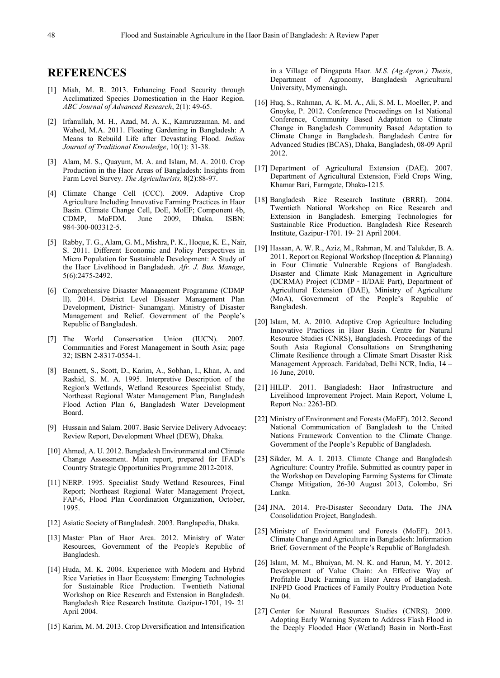### **REFERENCES**

- [1] Miah, M. R. 2013. Enhancing Food Security through Acclimatized Species Domestication in the Haor Region. *ABC Journal of Advanced Research*, 2(1): 49-65.
- [2] Irfanullah, M. H., Azad, M. A. K., Kamruzzaman, M. and Wahed, M.A. 2011. Floating Gardening in Bangladesh: A Means to Rebuild Life after Devastating Flood. *Indian Journal of Traditional Knowledge*, 10(1): 31-38.
- [3] Alam, M. S., Quayum, M. A. and Islam, M. A. 2010. Crop Production in the Haor Areas of Bangladesh: Insights from Farm Level Survey. *The Agriculturists,* 8(2):88-97.
- [4] Climate Change Cell (CCC). 2009. Adaptive Crop Agriculture Including Innovative Farming Practices in Haor Basin. Climate Change Cell, DoE, MoEF; Component 4b, CDMP, MoFDM. June 2009, Dhaka. ISBN: 984-300-003312-5.
- [5] Rabby, T. G., Alam, G. M., Mishra, P. K., Hoque, K. E., Nair, S. 2011. Different Economic and Policy Perspectives in Micro Population for Sustainable Development: A Study of the Haor Livelihood in Bangladesh. *Afr. J. Bus. Manage*, 5(6):2475-2492.
- [6] Comprehensive Disaster Management Programme (CDMP ll). 2014. District Level Disaster Management Plan Development, District- Sunamganj. Ministry of Disaster Management and Relief. Government of the People's Republic of Bangladesh.
- [7] The World Conservation Union (IUCN). 2007. Communities and Forest Management in South Asia; page 32; ISBN 2-8317-0554-1.
- [8] Bennett, S., Scott, D., Karim, A., Sobhan, I., Khan, A. and Rashid, S. M. A. 1995. Interpretive Description of the Region's Wetlands, Wetland Resources Specialist Study, Northeast Regional Water Management Plan, Bangladesh Flood Action Plan 6, Bangladesh Water Development Board.
- [9] Hussain and Salam. 2007. Basic Service Delivery Advocacy: Review Report, Development Wheel (DEW), Dhaka.
- [10] Ahmed, A. U. 2012. Bangladesh Environmental and Climate Change Assessment. Main report, prepared for IFAD's Country Strategic Opportunities Programme 2012-2018.
- [11] NERP. 1995. Specialist Study Wetland Resources, Final Report; Northeast Regional Water Management Project, FAP-6, Flood Plan Coordination Organization, October, 1995.
- [12] Asiatic Society of Bangladesh. 2003. Banglapedia, Dhaka.
- [13] Master Plan of Haor Area. 2012. Ministry of Water Resources, Government of the People's Republic of Bangladesh.
- [14] Huda, M. K. 2004. Experience with Modern and Hybrid Rice Varieties in Haor Ecosystem: Emerging Technologies for Sustainable Rice Production. Twentieth National Workshop on Rice Research and Extension in Bangladesh. Bangladesh Rice Research Institute. Gazipur-1701, 19- 21 April 2004.
- [15] Karim, M. M. 2013. Crop Diversification and Intensification

in a Village of Dingaputa Haor. *M.S. (Ag.Agron.) Thesis*, Department of Agronomy, Bangladesh Agricultural University, Mymensingh.

- [16] Huq, S., Rahman, A. K. M. A., Ali, S. M. I., Moeller, P. and Gnoyke, P. 2012. Conference Proceedings on 1st National Conference, Community Based Adaptation to Climate Change in Bangladesh Community Based Adaptation to Climate Change in Bangladesh. Bangladesh Centre for Advanced Studies (BCAS), Dhaka, Bangladesh, 08-09 April 2012.
- [17] Department of Agricultural Extension (DAE). 2007. Department of Agricultural Extension, Field Crops Wing, Khamar Bari, Farmgate, Dhaka-1215.
- [18] Bangladesh Rice Research Institute (BRRI). 2004. Twentieth National Workshop on Rice Research and Extension in Bangladesh. Emerging Technologies for Sustainable Rice Production. Bangladesh Rice Research Institute, Gazipur-1701. 19- 21 April 2004.
- [19] Hassan, A. W. R., Aziz, M., Rahman, M. and Talukder, B. A. 2011. Report on Regional Workshop (Inception & Planning) in Four Climatic Vulnerable Regions of Bangladesh. Disaster and Climate Risk Management in Agriculture (DCRMA) Project (CDMP‐II/DAE Part), Department of Agricultural Extension (DAE), Ministry of Agriculture (MoA), Government of the People's Republic of Bangladesh.
- [20] Islam, M. A. 2010. Adaptive Crop Agriculture Including Innovative Practices in Haor Basin. Centre for Natural Resource Studies (CNRS), Bangladesh. Proceedings of the South Asia Regional Consultations on Strengthening Climate Resilience through a Climate Smart Disaster Risk Management Approach. Faridabad, Delhi NCR, India, 14 – 16 June, 2010.
- [21] HILIP. 2011. Bangladesh: Haor Infrastructure and Livelihood Improvement Project. Main Report, Volume I, Report No.: 2263-BD.
- [22] Ministry of Environment and Forests (MoEF). 2012. Second National Communication of Bangladesh to the United Nations Framework Convention to the Climate Change. Government of the People's Republic of Bangladesh.
- [23] Sikder, M. A. I. 2013. Climate Change and Bangladesh Agriculture: Country Profile. Submitted as country paper in the Workshop on Developing Farming Systems for Climate Change Mitigation, 26-30 August 2013, Colombo, Sri Lanka.
- [24] JNA. 2014. Pre-Disaster Secondary Data. The JNA Consolidation Project, Bangladesh.
- [25] Ministry of Environment and Forests (MoEF). 2013. Climate Change and Agriculture in Bangladesh: Information Brief. Government of the People's Republic of Bangladesh.
- [26] Islam, M. M., Bhuiyan, M. N. K. and Harun, M. Y. 2012. Development of Value Chain: An Effective Way of Profitable Duck Farming in Haor Areas of Bangladesh. INFPD Good Practices of Family Poultry Production Note No 04.
- [27] Center for Natural Resources Studies (CNRS). 2009. Adopting Early Warning System to Address Flash Flood in the Deeply Flooded Haor (Wetland) Basin in North-East